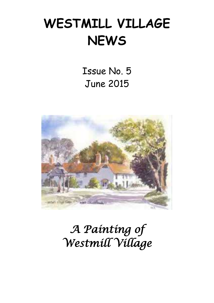# **WESTMILL VILLAGE NEWS**

Issue No. 5 June 2015



## *A Painting of Westmill Village*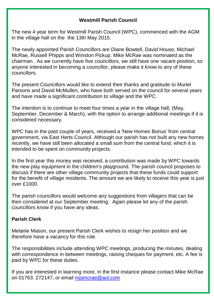#### **Westmill Parish Council**

The new 4 year term for Westmill Parish Council (WPC), commenced with the AGM in the village hall on the the 13th May 2015.

The newly appointed Parish Councillors are Diane Bowtell, David House, Michael McRae, Russell Phipps and Winston Pickup. Mike McRae was nominated as the chairman. As we currently have five councillors, we still have one vacant position, so anyone interested in becoming a councillor, please make it know to any of these councillors.

The present Councillors would like to extend their thanks and gratitude to Muriel Parsons and David McMullen, who have both served on the council for several years and have made a significant contribution to village and the WPC.

The intention is to continue to meet four times a year in the village hall, (May, September, December & March), with the option to arrange additional meetings if it is considered necessary.

WPC has in the past couple of years, received a 'New Homes Bonus' from central government, via East Herts Council. Although our parish has not built any new homes recently, we have still been allocated a small sum from the central fund, which it is intended to be spent on community projects.

In the first year this money was received, a contribution was made by WPC towards the new play equipment in the children's playground. The parish council proposes to discuss if there are other village community projects that these funds could support for the benefit of village residents. The amount we are likely to receive this year is just over £1000.

The parish councillors would welcome any suggestions from villagers that can be then considered at our September meeting. Again please let any of the parish councillors know if you have any ideas.

#### **Parish Clerk**

Melanie Mason, our present Parish Clerk wishes to resign her position and we therefore have a vacancy for this role.

The responsibilities include attending WPC meetings, producing the minutes, dealing with correspondence in between meetings, raising cheques for payment, etc. A fee is paid by WPC for these duties.

If you are interested in learning more, in the first instance please contact Mike McRae on 01763. 272147, or email [mjsmcrae@aol.com](mailto:mjsmcrae@aol.com)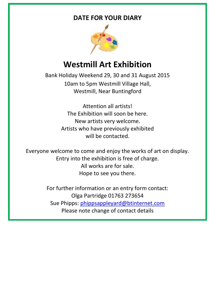#### **DATE FOR YOUR DIARY**



### **Westmill Art Exhibition**

Bank Holiday Weekend 29, 30 and 31 August 2015 10am to 5pm Westmill Village Hall, Westmill, Near Buntingford

> Attention all artists! The Exhibition will soon be here. New artists very welcome. Artists who have previously exhibited will be contacted.

Everyone welcome to come and enjoy the works of art on display. Entry into the exhibition is free of charge. All works are for sale. Hope to see you there.

> For further information or an entry form contact: Olga Partridge 01763 273654 Sue Phipps: [phippsappleyard@btinternet.com](mailto:phippsappleyard@btinternet.com) Please note change of contact details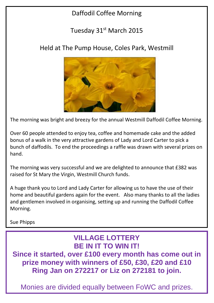### Daffodil Coffee Morning

#### Tuesday 31<sup>st</sup> March 2015

#### Held at The Pump House, Coles Park, Westmill



The morning was bright and breezy for the annual Westmill Daffodil Coffee Morning.

Over 60 people attended to enjoy tea, coffee and homemade cake and the added bonus of a walk in the very attractive gardens of Lady and Lord Carter to pick a bunch of daffodils. To end the proceedings a raffle was drawn with several prizes on hand.

The morning was very successful and we are delighted to announce that £382 was raised for St Mary the Virgin, Westmill Church funds.

A huge thank you to Lord and Lady Carter for allowing us to have the use of their home and beautiful gardens again for the event. Also many thanks to all the ladies and gentlemen involved in organising, setting up and running the Daffodil Coffee Morning.

Sue Phipps

#### **VILLAGE LOTTERY BE IN IT TO WIN IT!**

**Since it started, over £100 every month has come out in prize money with winners of £50, £30, £20 and £10 Ring Jan on 272217 or Liz on 272181 to join.**

Monies are divided equally between FoWC and prizes.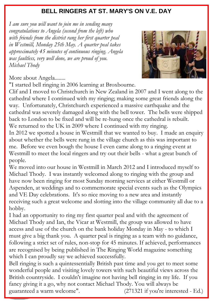#### **BELL RINGERS AT ST. MARY'S ON V.E. DAY**

 *approximately 45 minutes of continuous ringing. Angela I am sure you will want to join me in sending many congratulations to Angela (second from the left) who with friends from the district rang her first quarter peal in Westmill, Monday 25th May. A quarter peal takes was faultless, very well done, we are proud of you. Michael Thody* 



More about Angela........

"I started bell ringing in 2006 learning at Broxbourne.

Clif and I moved to Christchurch in New Zealand in 2007 and I went along to the cathedral where I continued with my ringing; making some great friends along the way. Unfortunately, Christchurch experienced a massive earthquake and the cathedral was severely damaged along with the bell tower. The bells were shipped back to London to be fixed and will be re-hung once the cathedral is rebuilt. We returned to the UK in 2009 where I continued with my ringing.

In 2012 we spotted a house in Westmill that we wanted to buy. I made an enquiry about whether the bells were rung in the village church as this was important to me. Before we even bough the house I even came along to a ringing event at Westmill to meet the local ringers and try out their bells - what a great bunch of people.

We moved into our house in Westmill in March 2012 and I introduced myself to Michael Thody. I was instantly welcomed along to ringing with the group and have now been ringing for most Sunday morning services at either Westmill or Aspenden, at weddings and to commemorate special events such as the Olympics and VE Day celebrations. It's so nice moving to a new area and instantly receiving such a great welcome and slotting into the village community all due to a hobby.

I had an opportunity to ring my first quarter peal and with the agreement of Michael Thody and Ian, the Vicar at Westmill, the group was allowed to have access and use of the church on the bank holiday Monday in May - to which I must give a big thank you. A quarter peal is ringing as a team with no guidance, following a strict set of rules, non-stop for 45 minutes. If achieved, performances are recognised by being published in The Ringing World magazine something which I can proudly say we achieved successfully.

Bell ringing is such a quintessentially British past time and you get to meet some wonderful people and visiting lovely towers with such beautiful views across the British countryside. I couldn't imagine not having bell ringing in my life. If you fancy giving it a go, why not contact Michael Thody. You will always be guaranteed a warm welcome". (271321 if you're interested - Ed.)